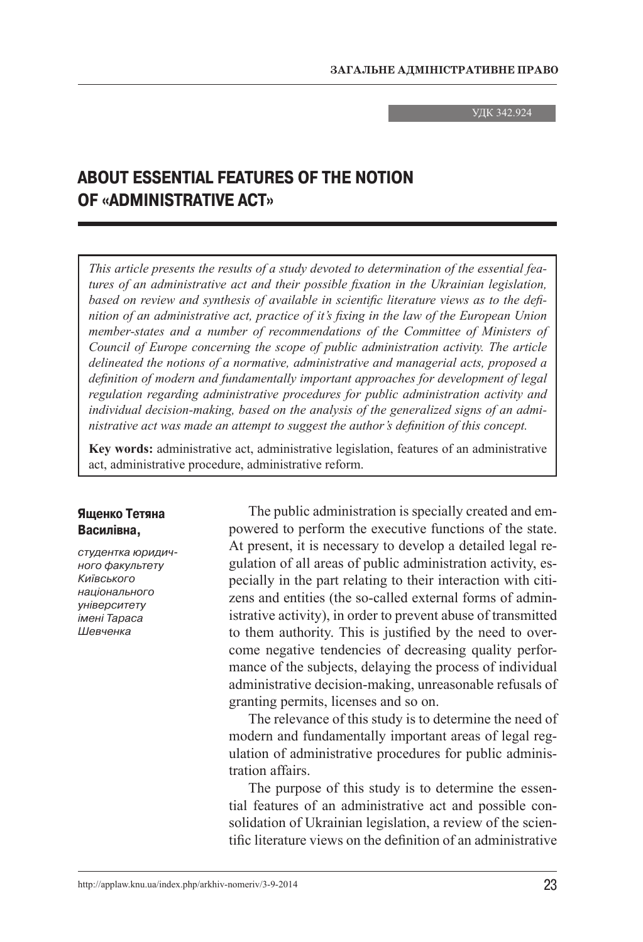УДК 342.924

# **ABOUT ESSENTIAL FEATURES OF THE NOTION OF «ADMINISTRATIVE ACT»**

*This article presents the results of a study devoted to determination of the essential features of an administrative act and their possible fixation in the Ukrainian legislation, based on review and synthesis of available in scientific literature views as to the definition of an administrative act, practice of it's fixing in the law of the European Union member-states and a number of recommendations of the Committee of Ministers of Council of Europe concerning the scope of public administration activity. The article delineated the notions of a normative, administrative and managerial acts, proposed a definition of modern and fundamentally important approaches for development of legal regulation regarding administrative procedures for public administration activity and individual decision-making, based on the analysis of the generalized signs of an administrative act was made an attempt to suggest the author's definition of this concept.*

**Key words:** administrative act, administrative legislation, features of an administrative act, administrative procedure, administrative reform.

### **Ященко Тетяна Василівна,**

студентка юридичного факультету Київського національного університету імені Тараса Шевченка

The public administration is specially created and empowered to perform the executive functions of the state. At present, it is necessary to develop a detailed legal regulation of all areas of public administration activity, especially in the part relating to their interaction with citizens and entities (the so-called external forms of administrative activity), in order to prevent abuse of transmitted to them authority. This is justified by the need to overcome negative tendencies of decreasing quality performance of the subjects, delaying the process of individual administrative decision-making, unreasonable refusals of granting permits, licenses and so on.

The relevance of this study is to determine the need of modern and fundamentally important areas of legal regulation of administrative procedures for public administration affairs.

The purpose of this study is to determine the essential features of an administrative act and possible consolidation of Ukrainian legislation, a review of the scientific literature views on the definition of an administrative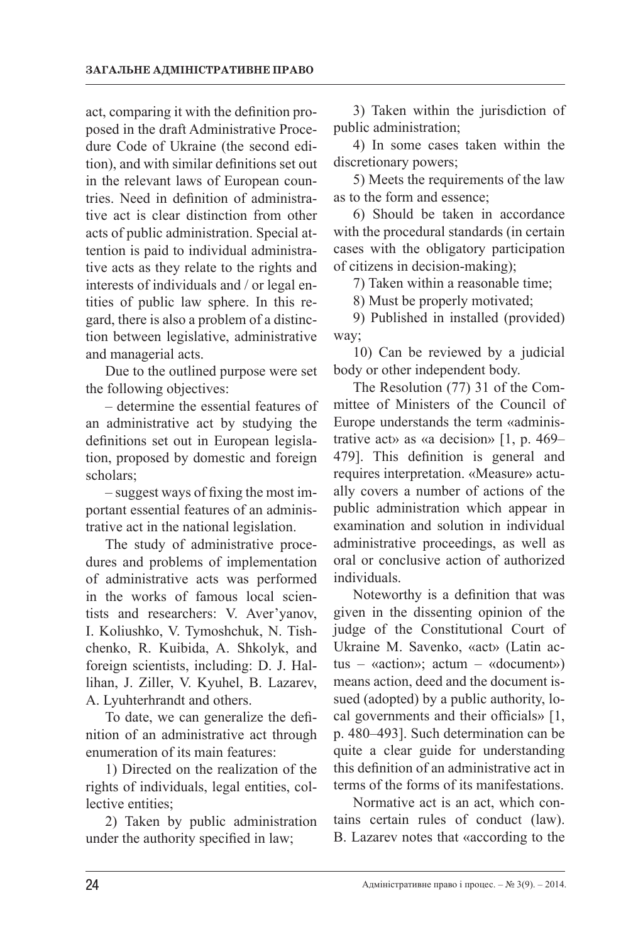act, comparing it with the definition proposed in the draft Administrative Procedure Code of Ukraine (the second edition), and with similar definitions set out in the relevant laws of European countries. Need in definition of administrative act is clear distinction from other acts of public administration. Special attention is paid to individual administrative acts as they relate to the rights and interests of individuals and / or legal entities of public law sphere. In this regard, there is also a problem of a distinction between legislative, administrative and managerial acts.

Due to the outlined purpose were set the following objectives:

– determine the essential features of an administrative act by studying the definitions set out in European legislation, proposed by domestic and foreign scholars;

– suggest ways of fixing the most important essential features of an administrative act in the national legislation.

The study of administrative procedures and problems of implementation of administrative acts was performed in the works of famous local scientists and researchers: V. Aver'yanov, I. Koliushko, V. Tymoshchuk, N. Tishchenko, R. Kuibida, A. Shkolyk, and foreign scientists, including: D. J. Hallihan, J. Ziller, V. Kyuhel, B. Lazarev, A. Lyuhterhrandt and others.

To date, we can generalize the definition of an administrative act through enumeration of its main features:

1) Directed on the realization of the rights of individuals, legal entities, collective entities;

2) Taken by public administration under the authority specified in law;

3) Taken within the jurisdiction of public administration;

4) In some cases taken within the discretionary powers;

5) Meets the requirements of the law as to the form and essence;

6) Should be taken in accordance with the procedural standards (in certain cases with the obligatory participation of citizens in decision-making);

7) Taken within a reasonable time;

8) Must be properly motivated;

9) Published in installed (provided) way;

10) Can be reviewed by a judicial body or other independent body.

The Resolution (77) 31 of the Committee of Ministers of the Council of Europe understands the term «administrative act» as «a decision» [1, р. 469– 479]. This definition is general and requires interpretation. «Measure» actually covers a number of actions of the public administration which appear in examination and solution in individual administrative proceedings, as well as oral or conclusive action of authorized individuals.

Noteworthy is a definition that was given in the dissenting opinion of the judge of the Constitutional Court of Ukraine M. Savenko, «act» (Latin actus – «action»; actum – «document») means action, deed and the document issued (adopted) by a public authority, local governments and their officials» [1, р. 480–493]. Such determination can be quite a clear guide for understanding this definition of an administrative act in terms of the forms of its manifestations.

Normative act is an act, which contains certain rules of conduct (law). B. Lazarev notes that «according to the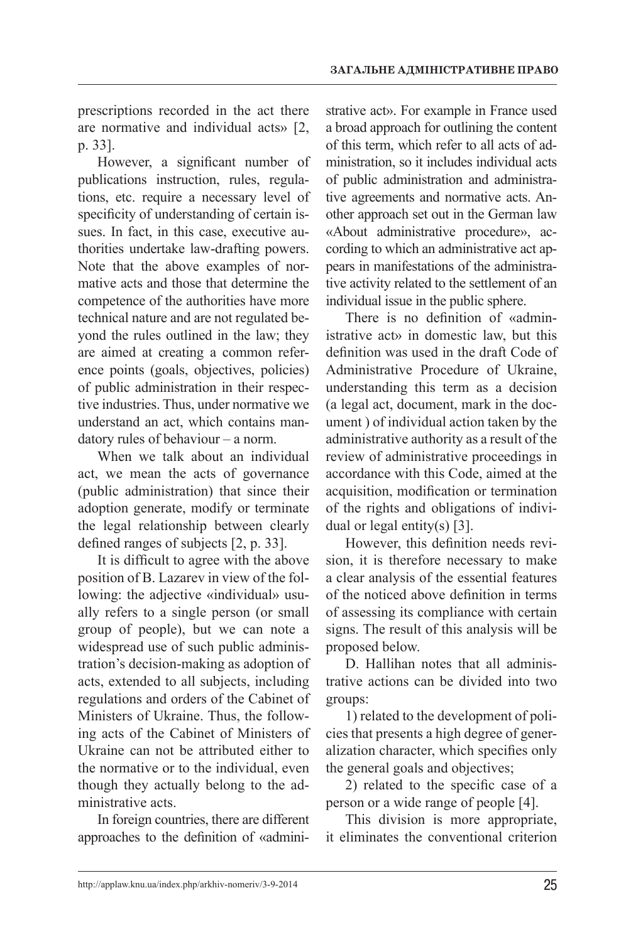prescriptions recorded in the act there are normative and individual acts» [2, р. 33].

However, a significant number of publications instruction, rules, regulations, etc. require a necessary level of specificity of understanding of certain issues. In fact, in this case, executive authorities undertake law-drafting powers. Note that the above examples of normative acts and those that determine the competence of the authorities have more technical nature and are not regulated beyond the rules outlined in the law; they are aimed at creating a common reference points (goals, objectives, policies) of public administration in their respective industries. Thus, under normative we understand an act, which contains mandatory rules of behaviour – a norm.

When we talk about an individual act, we mean the acts of governance (public administration) that since their adoption generate, modify or terminate the legal relationship between clearly defined ranges of subjects [2, р. 33].

It is difficult to agree with the above position of B. Lazarev in view of the following: the adjective «individual» usually refers to a single person (or small group of people), but we can note a widespread use of such public administration's decision-making as adoption of acts, extended to all subjects, including regulations and orders of the Cabinet of Ministers of Ukraine. Thus, the following acts of the Cabinet of Ministers of Ukraine can not be attributed either to the normative or to the individual, even though they actually belong to the administrative acts.

In foreign countries, there are different approaches to the definition of «administrative act». For example in France used a broad approach for outlining the content of this term, which refer to all acts of administration, so it includes individual acts of public administration and administrative agreements and normative acts. Another approach set out in the German law «About administrative procedure», according to which an administrative act appears in manifestations of the administrative activity related to the settlement of an individual issue in the public sphere.

There is no definition of «administrative act» in domestic law, but this definition was used in the draft Code of Administrative Procedure of Ukraine, understanding this term as a decision (a legal act, document, mark in the document ) of individual action taken by the administrative authority as a result of the review of administrative proceedings in accordance with this Code, aimed at the acquisition, modification or termination of the rights and obligations of individual or legal entity(s) [3].

However, this definition needs revision, it is therefore necessary to make a clear analysis of the essential features of the noticed above definition in terms of assessing its compliance with certain signs. The result of this analysis will be proposed below.

D. Hallihan notes that all administrative actions can be divided into two groups:

1) related to the development of policies that presents a high degree of generalization character, which specifies only the general goals and objectives;

2) related to the specific case of a person or a wide range of people [4].

This division is more appropriate, it eliminates the conventional criterion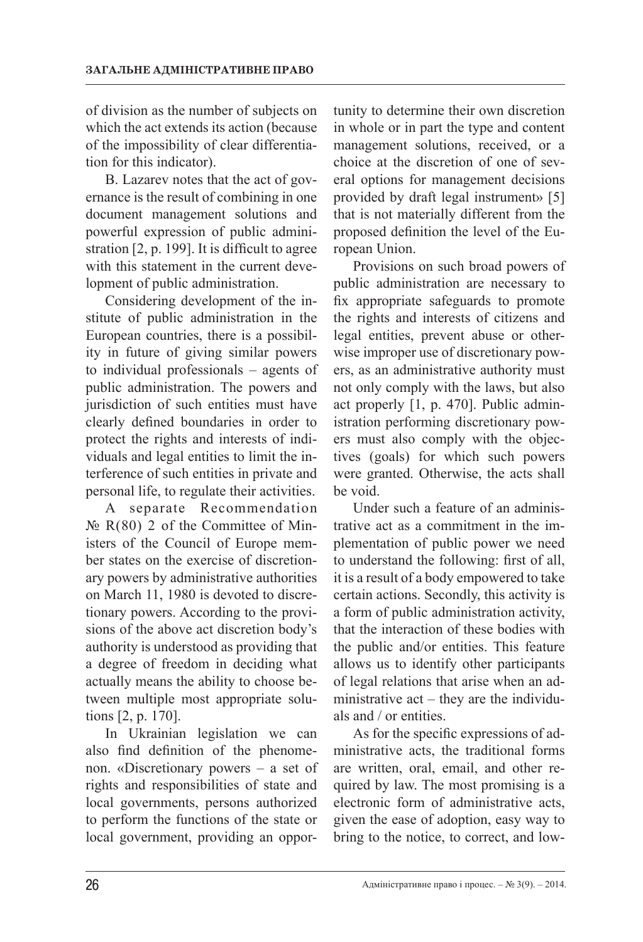of division as the number of subjects on which the act extends its action (because of the impossibility of clear differentiation for this indicator).

B. Lazarev notes that the act of governance is the result of combining in one document management solutions and powerful expression of public administration [2, p. 199]. It is difficult to agree with this statement in the current development of public administration.

Considering development of the institute of public administration in the European countries, there is a possibility in future of giving similar powers to individual professionals – agents of public administration. The powers and jurisdiction of such entities must have clearly defined boundaries in order to protect the rights and interests of individuals and legal entities to limit the interference of such entities in private and personal life, to regulate their activities.

A separate Recommendation  $\mathbb{N}_2$  R(80) 2 of the Committee of Ministers of the Council of Europe member states on the exercise of discretionary powers by administrative authorities on March 11, 1980 is devoted to discretionary powers. According to the provisions of the above act discretion body's authority is understood as providing that a degree of freedom in deciding what actually means the ability to choose between multiple most appropriate solutions [2, р. 170].

In Ukrainian legislation we can also find definition of the phenomenon. «Discretionary powers – a set of rights and responsibilities of state and local governments, persons authorized to perform the functions of the state or local government, providing an oppor-

tunity to determine their own discretion in whole or in part the type and content management solutions, received, or a choice at the discretion of one of several options for management decisions provided by draft legal instrument» [5] that is not materially different from the proposed definition the level of the European Union.

Provisions on such broad powers of public administration are necessary to fix appropriate safeguards to promote the rights and interests of citizens and legal entities, prevent abuse or otherwise improper use of discretionary powers, as an administrative authority must not only comply with the laws, but also act properly [1, р. 470]. Public administration performing discretionary powers must also comply with the objectives (goals) for which such powers were granted. Otherwise, the acts shall be void.

Under such a feature of an administrative act as a commitment in the implementation of public power we need to understand the following: first of all, it is a result of a body empowered to take certain actions. Secondly, this activity is a form of public administration activity, that the interaction of these bodies with the public and/or entities. This feature allows us to identify other participants of legal relations that arise when an administrative act – they are the individuals and / or entities.

As for the specific expressions of administrative acts, the traditional forms are written, oral, email, and other required by law. The most promising is a electronic form of administrative acts, given the ease of adoption, easy way to bring to the notice, to correct, and low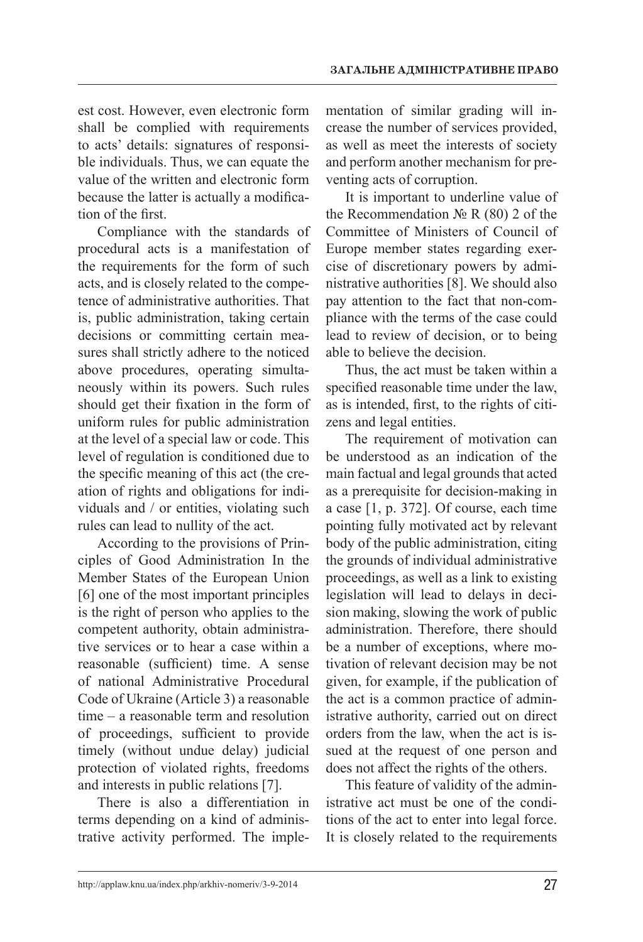est cost. However, even electronic form shall be complied with requirements to acts' details: signatures of responsible individuals. Thus, we can equate the value of the written and electronic form because the latter is actually a modification of the first.

Compliance with the standards of procedural acts is a manifestation of the requirements for the form of such acts, and is closely related to the competence of administrative authorities. That is, public administration, taking certain decisions or committing certain measures shall strictly adhere to the noticed above procedures, operating simultaneously within its powers. Such rules should get their fixation in the form of uniform rules for public administration at the level of a special law or code. This level of regulation is conditioned due to the specific meaning of this act (the creation of rights and obligations for individuals and / or entities, violating such rules can lead to nullity of the act.

According to the provisions of Principles of Good Administration In the Member States of the European Union [6] one of the most important principles is the right of person who applies to the competent authority, obtain administrative services or to hear a case within a reasonable (sufficient) time. A sense of national Administrative Procedural Code of Ukraine (Article 3) a reasonable time – a reasonable term and resolution of proceedings, sufficient to provide timely (without undue delay) judicial protection of violated rights, freedoms and interests in public relations [7].

There is also a differentiation in terms depending on a kind of administrative activity performed. The implementation of similar grading will increase the number of services provided, as well as meet the interests of society and perform another mechanism for preventing acts of corruption.

It is important to underline value of the Recommendation  $\mathbb{N}_2$  R (80) 2 of the Committee of Ministers of Council of Europe member states regarding exercise of discretionary powers by administrative authorities [8]. We should also pay attention to the fact that non-compliance with the terms of the case could lead to review of decision, or to being able to believe the decision.

Thus, the act must be taken within a specified reasonable time under the law, as is intended, first, to the rights of citizens and legal entities.

The requirement of motivation can be understood as an indication of the main factual and legal grounds that acted as a prerequisite for decision-making in a case [1, р. 372]. Of course, each time pointing fully motivated act by relevant body of the public administration, citing the grounds of individual administrative proceedings, as well as a link to existing legislation will lead to delays in decision making, slowing the work of public administration. Therefore, there should be a number of exceptions, where motivation of relevant decision may be not given, for example, if the publication of the act is a common practice of administrative authority, carried out on direct orders from the law, when the act is issued at the request of one person and does not affect the rights of the others.

This feature of validity of the administrative act must be one of the conditions of the act to enter into legal force. It is closely related to the requirements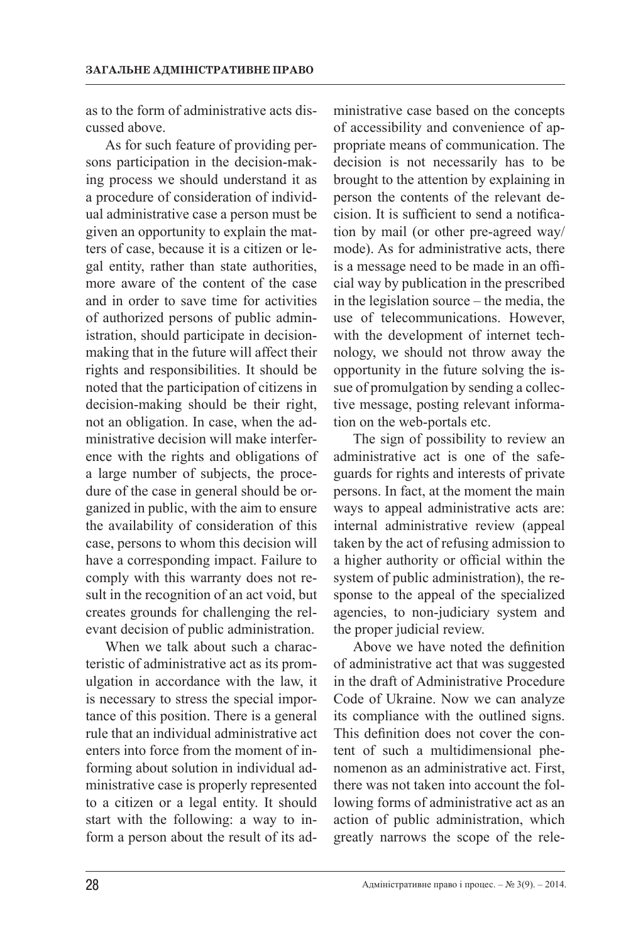as to the form of administrative acts discussed above.

As for such feature of providing persons participation in the decision-making process we should understand it as a procedure of consideration of individual administrative case a person must be given an opportunity to explain the matters of case, because it is a citizen or legal entity, rather than state authorities, more aware of the content of the case and in order to save time for activities of authorized persons of public administration, should participate in decisionmaking that in the future will affect their rights and responsibilities. It should be noted that the participation of citizens in decision-making should be their right, not an obligation. In case, when the administrative decision will make interference with the rights and obligations of a large number of subjects, the procedure of the case in general should be organized in public, with the aim to ensure the availability of consideration of this case, persons to whom this decision will have a corresponding impact. Failure to comply with this warranty does not result in the recognition of an act void, but creates grounds for challenging the relevant decision of public administration.

When we talk about such a characteristic of administrative act as its promulgation in accordance with the law, it is necessary to stress the special importance of this position. There is a general rule that an individual administrative act enters into force from the moment of informing about solution in individual administrative case is properly represented to a citizen or a legal entity. It should start with the following: a way to inform a person about the result of its administrative case based on the concepts of accessibility and convenience of appropriate means of communication. The decision is not necessarily has to be brought to the attention by explaining in person the contents of the relevant decision. It is sufficient to send a notification by mail (or other pre-agreed way/ mode). As for administrative acts, there is a message need to be made in an official way by publication in the prescribed in the legislation source – the media, the use of telecommunications. However, with the development of internet technology, we should not throw away the opportunity in the future solving the issue of promulgation by sending a collective message, posting relevant information on the web-portals etc.

The sign of possibility to review an administrative act is one of the safeguards for rights and interests of private persons. In fact, at the moment the main ways to appeal administrative acts are: internal administrative review (appeal taken by the act of refusing admission to a higher authority or official within the system of public administration), the response to the appeal of the specialized agencies, to non-judiciary system and the proper judicial review.

Above we have noted the definition of administrative act that was suggested in the draft of Administrative Procedure Code of Ukraine. Now we can analyze its compliance with the outlined signs. This definition does not cover the content of such a multidimensional phenomenon as an administrative act. First, there was not taken into account the following forms of administrative act as an action of public administration, which greatly narrows the scope of the rele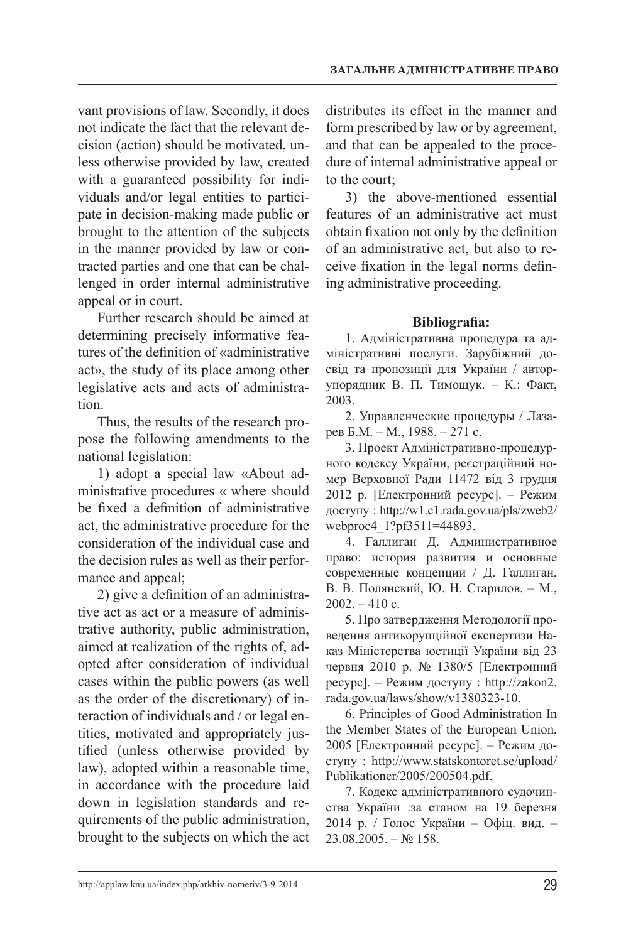vant provisions of law. Secondly, it does not indicate the fact that the relevant decision (action) should be motivated, unless otherwise provided by law, created with a guaranteed possibility for individuals and/or legal entities to participate in decision-making made public or brought to the attention of the subjects in the manner provided by law or contracted parties and one that can be challenged in order internal administrative appeal or in court.

Further research should be aimed at determining precisely informative features of the definition of «administrative act», the study of its place among other legislative acts and acts of administration.

Thus, the results of the research propose the following amendments to the national legislation:

1) adopt a special law «About administrative procedures « where should be fixed a definition of administrative act, the administrative procedure for the consideration of the individual case and the decision rules as well as their performance and appeal;

2) give a definition of an administrative act as act or a measure of administrative authority, public administration, aimed at realization of the rights of, adopted after consideration of individual cases within the public powers (as well as the order of the discretionary) of interaction of individuals and / or legal entities, motivated and appropriately justified (unless otherwise provided by law), adopted within a reasonable time, in accordance with the procedure laid down in legislation standards and requirements of the public administration, brought to the subjects on which the act distributes its effect in the manner and form prescribed by law or by agreement, and that can be appealed to the procedure of internal administrative appeal or to the court;

3) the above-mentioned essential features of an administrative act must obtain fixation not only by the definition of an administrative act, but also to receive fixation in the legal norms defining administrative proceeding.

# **Bibliografia:**

1. Адміністративна процедура та адміністративні послуги. Зарубіжний досвід та пропозиції для України / авторупорядник В. П. Тимощук. – К.: Факт, 2003.

2. Управленческие процедуры / Лазарев Б.М. – М., 1988. – 271 с.

3. Проект Адміністративно-процедурного кодексу України, реєстраційний номер Верховної Ради 11472 від 3 грудня 2012 р. [Електронний ресурс]. – Режим доступу : http://w1.c1.rada.gov.ua/pls/zweb2/ webproc4 1?pf3511=44893.

4. Галлиган Д. Административное право: история развития и основные современные концепции / Д. Галлиган, В. В. Полянский, Ю. Н. Старилов. – М.,  $2002 - 410$  c.

5. Про затвердження Методології проведення антикорупційної експертизи Наказ Міністерства юстиції України від 23 червня 2010 р. № 1380/5 [Електронний ресурс]. – Режим доступу : http://zakon2. rada.gov.ua/laws/show/v1380323-10.

6. Principles of Good Administration In the Member States of the European Union, 2005 [Електронний ресурс]. – Режим доступу : http://www.statskontoret.se/upload/ Publikationer/2005/200504.pdf.

7. Кодекс адміністративного судочинства України :за станом на 19 березня 2014 р. / Голос України – Офіц. вид. –  $23.08.2005. -$  No 158.